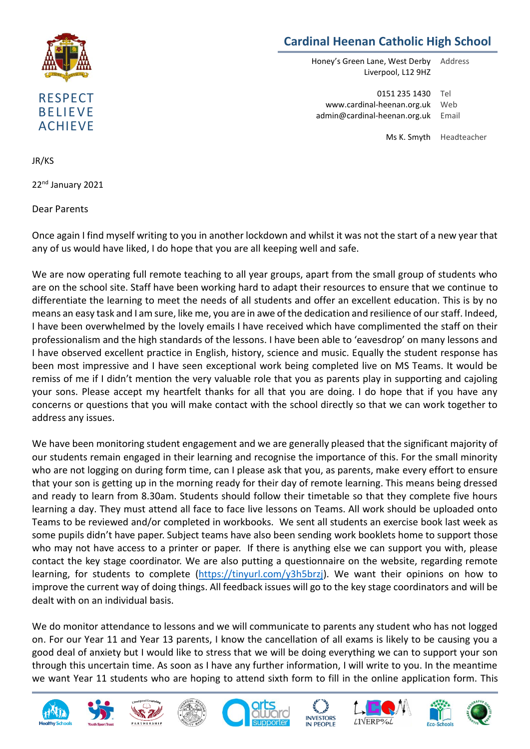

## **Cardinal Heenan Catholic High School**

Honey's Green Lane, West Derby Liverpool, L12 9HZ Address

0151 235 1430 www.cardinal-heenan.org.uk admin@cardinal-heenan.org.uk Email Tel Web

> Ms K. Smyth Headteacher

JR/KS

22<sup>nd</sup> January 2021

Dear Parents

Once again I find myself writing to you in another lockdown and whilst it was not the start of a new year that any of us would have liked, I do hope that you are all keeping well and safe.

We are now operating full remote teaching to all year groups, apart from the small group of students who are on the school site. Staff have been working hard to adapt their resources to ensure that we continue to differentiate the learning to meet the needs of all students and offer an excellent education. This is by no means an easy task and I am sure, like me, you are in awe of the dedication and resilience of our staff. Indeed, I have been overwhelmed by the lovely emails I have received which have complimented the staff on their professionalism and the high standards of the lessons. I have been able to 'eavesdrop' on many lessons and I have observed excellent practice in English, history, science and music. Equally the student response has been most impressive and I have seen exceptional work being completed live on MS Teams. It would be remiss of me if I didn't mention the very valuable role that you as parents play in supporting and cajoling your sons. Please accept my heartfelt thanks for all that you are doing. I do hope that if you have any concerns or questions that you will make contact with the school directly so that we can work together to address any issues.

We have been monitoring student engagement and we are generally pleased that the significant majority of our students remain engaged in their learning and recognise the importance of this. For the small minority who are not logging on during form time, can I please ask that you, as parents, make every effort to ensure that your son is getting up in the morning ready for their day of remote learning. This means being dressed and ready to learn from 8.30am. Students should follow their timetable so that they complete five hours learning a day. They must attend all face to face live lessons on Teams. All work should be uploaded onto Teams to be reviewed and/or completed in workbooks. We sent all students an exercise book last week as some pupils didn't have paper. Subject teams have also been sending work booklets home to support those who may not have access to a printer or paper. If there is anything else we can support you with, please contact the key stage coordinator. We are also putting a questionnaire on the website, regarding remote learning, for students to complete [\(https://tinyurl.com/y3h5brzj\)](https://tinyurl.com/y3h5brzj). We want their opinions on how to improve the current way of doing things. All feedback issues will go to the key stage coordinators and will be dealt with on an individual basis.

We do monitor attendance to lessons and we will communicate to parents any student who has not logged on. For our Year 11 and Year 13 parents, I know the cancellation of all exams is likely to be causing you a good deal of anxiety but I would like to stress that we will be doing everything we can to support your son through this uncertain time. As soon as I have any further information, I will write to you. In the meantime we want Year 11 students who are hoping to attend sixth form to fill in the online application form. This